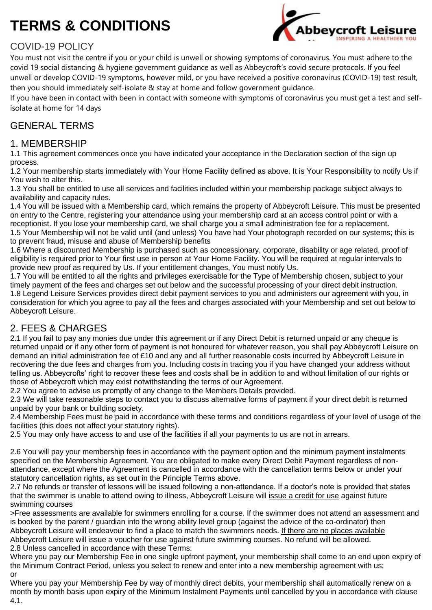# **TERMS & CONDITIONS**



# COVID-19 POLICY

You must not visit the centre if you or your child is unwell or showing symptoms of coronavirus. You must adhere to the covid 19 social distancing & hygiene government guidance as well as Abbeycroft's covid secure protocols. If you feel unwell or develop COVID-19 symptoms, however mild, or you have received a positive coronavirus (COVID-19) test result, then you should immediately self-isolate & stay at home and follow government guidance.

If you have been in contact with been in contact with someone with symptoms of coronavirus you must get a test and selfisolate at home for 14 days

## GENERAL TERMS

#### 1. MEMBERSHIP

1.1 This agreement commences once you have indicated your acceptance in the Declaration section of the sign up process.

1.2 Your membership starts immediately with Your Home Facility defined as above. It is Your Responsibility to notify Us if You wish to alter this.

1.3 You shall be entitled to use all services and facilities included within your membership package subject always to availability and capacity rules.

1.4 You will be issued with a Membership card, which remains the property of Abbeycroft Leisure. This must be presented on entry to the Centre, registering your attendance using your membership card at an access control point or with a receptionist. If you lose your membership card, we shall charge you a small administration fee for a replacement.

1.5 Your Membership will not be valid until (and unless) You have had Your photograph recorded on our systems; this is to prevent fraud, misuse and abuse of Membership benefits

1.6 Where a discounted Membership is purchased such as concessionary, corporate, disability or age related, proof of eligibility is required prior to Your first use in person at Your Home Facility. You will be required at regular intervals to provide new proof as required by Us. If your entitlement changes, You must notify Us.

1.7 You will be entitled to all the rights and privileges exercisable for the Type of Membership chosen, subject to your timely payment of the fees and charges set out below and the successful processing of your direct debit instruction. 1.8 Legend Leisure Services provides direct debit payment services to you and administers our agreement with you, in consideration for which you agree to pay all the fees and charges associated with your Membership and set out below to Abbeycroft Leisure.

## 2. FEES & CHARGES

2.1 If you fail to pay any monies due under this agreement or if any Direct Debit is returned unpaid or any cheque is returned unpaid or if any other form of payment is not honoured for whatever reason, you shall pay Abbeycroft Leisure on demand an initial administration fee of £10 and any and all further reasonable costs incurred by Abbeycroft Leisure in recovering the due fees and charges from you. Including costs in tracing you if you have changed your address without telling us. Abbeycrofts' right to recover these fees and costs shall be in addition to and without limitation of our rights or those of Abbeycroft which may exist notwithstanding the terms of our Agreement.

2.2 You agree to advise us promptly of any change to the Members Details provided.

2.3 We will take reasonable steps to contact you to discuss alternative forms of payment if your direct debit is returned unpaid by your bank or building society.

2.4 Membership Fees must be paid in accordance with these terms and conditions regardless of your level of usage of the facilities (this does not affect your statutory rights).

2.5 You may only have access to and use of the facilities if all your payments to us are not in arrears.

2.6 You will pay your membership fees in accordance with the payment option and the minimum payment instalments specified on the Membership Agreement. You are obligated to make every Direct Debit Payment regardless of nonattendance, except where the Agreement is cancelled in accordance with the cancellation terms below or under your statutory cancellation rights, as set out in the Principle Terms above.

2.7 No refunds or transfer of lessons will be issued following a non-attendance. If a doctor's note is provided that states that the swimmer is unable to attend owing to illness, Abbeycroft Leisure will issue a credit for use against future swimming courses

>Free assessments are available for swimmers enrolling for a course. If the swimmer does not attend an assessment and is booked by the parent / guardian into the wrong ability level group (against the advice of the co-ordinator) then Abbeycroft Leisure will endeavour to find a place to match the swimmers needs. If there are no places available Abbeycroft Leisure will issue a voucher for use against future swimming courses. No refund will be allowed. 2.8 Unless cancelled in accordance with these Terms:

Where you pay our Membership Fee in one single upfront payment, your membership shall come to an end upon expiry of the Minimum Contract Period, unless you select to renew and enter into a new membership agreement with us; or

Where you pay your Membership Fee by way of monthly direct debits, your membership shall automatically renew on a month by month basis upon expiry of the Minimum Instalment Payments until cancelled by you in accordance with clause 4.1.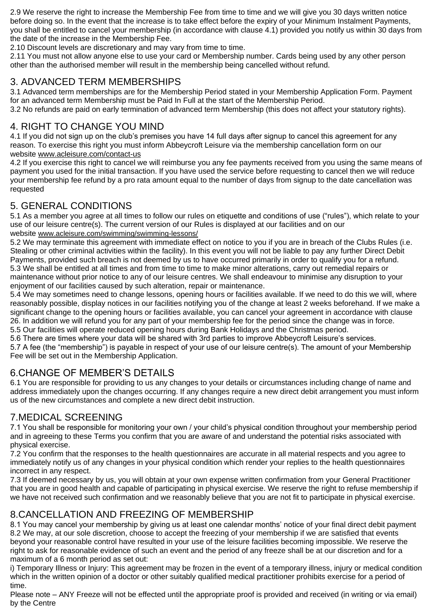2.9 We reserve the right to increase the Membership Fee from time to time and we will give you 30 days written notice before doing so. In the event that the increase is to take effect before the expiry of your Minimum Instalment Payments, you shall be entitled to cancel your membership (in accordance with clause 4.1) provided you notify us within 30 days from the date of the increase in the Membership Fee.

2.10 Discount levels are discretionary and may vary from time to time.

2.11 You must not allow anyone else to use your card or Membership number. Cards being used by any other person other than the authorised member will result in the membership being cancelled without refund.

#### 3. ADVANCED TERM MEMBERSHIPS

3.1 Advanced term memberships are for the Membership Period stated in your Membership Application Form. Payment for an advanced term Membership must be Paid In Full at the start of the Membership Period.

3.2 No refunds are paid on early termination of advanced term Membership (this does not affect your statutory rights).

## 4. RIGHT TO CHANGE YOU MIND

4.1 If you did not sign up on the club's premises you have 14 full days after signup to cancel this agreement for any reason. To exercise this right you must inform Abbeycroft Leisure via the membership cancellation form on our website [www.acleisure.com/contact-us](https://www.acleisure.com/contact-us)

4.2 If you exercise this right to cancel we will reimburse you any fee payments received from you using the same means of payment you used for the initial transaction. If you have used the service before requesting to cancel then we will reduce your membership fee refund by a pro rata amount equal to the number of days from signup to the date cancellation was requested

## 5. GENERAL CONDITIONS

5.1 As a member you agree at all times to follow our rules on etiquette and conditions of use ("rules"), which relate to your use of our leisure centre(s). The current version of our Rules is displayed at our facilities and on our website [www.acleisure.com/swimming/swimming-lessons/](https://www.acleisure.com/swimming/swimming-lessons/)

5.2 We may terminate this agreement with immediate effect on notice to you if you are in breach of the Clubs Rules (i.e. Stealing or other criminal activities within the facility). In this event you will not be liable to pay any further Direct Debit Payments, provided such breach is not deemed by us to have occurred primarily in order to qualify you for a refund. 5.3 We shall be entitled at all times and from time to time to make minor alterations, carry out remedial repairs or maintenance without prior notice to any of our leisure centres. We shall endeavour to minimise any disruption to your enjoyment of our facilities caused by such alteration, repair or maintenance.

5.4 We may sometimes need to change lessons, opening hours or facilities available. If we need to do this we will, where reasonably possible, display notices in our facilities notifying you of the change at least 2 weeks beforehand. If we make a significant change to the opening hours or facilities available, you can cancel your agreement in accordance with clause 26. In addition we will refund you for any part of your membership fee for the period since the change was in force. 5.5 Our facilities will operate reduced opening hours during Bank Holidays and the Christmas period.

5.6 There are times where your data will be shared with 3rd parties to improve Abbeycroft Leisure's services.

5.7 A fee (the "membership") is payable in respect of your use of our leisure centre(s). The amount of your Membership Fee will be set out in the Membership Application.

## 6.CHANGE OF MEMBER'S DETAILS

6.1 You are responsible for providing to us any changes to your details or circumstances including change of name and address immediately upon the changes occurring. If any changes require a new direct debit arrangement you must inform us of the new circumstances and complete a new direct debit instruction.

## 7.MEDICAL SCREENING

7.1 You shall be responsible for monitoring your own / your child's physical condition throughout your membership period and in agreeing to these Terms you confirm that you are aware of and understand the potential risks associated with physical exercise.

7.2 You confirm that the responses to the health questionnaires are accurate in all material respects and you agree to immediately notify us of any changes in your physical condition which render your replies to the health questionnaires incorrect in any respect.

7.3 If deemed necessary by us, you will obtain at your own expense written confirmation from your General Practitioner that you are in good health and capable of participating in physical exercise. We reserve the right to refuse membership if we have not received such confirmation and we reasonably believe that you are not fit to participate in physical exercise.

## 8.CANCELLATION AND FREEZING OF MEMBERSHIP

8.1 You may cancel your membership by giving us at least one calendar months' notice of your final direct debit payment 8.2 We may, at our sole discretion, choose to accept the freezing of your membership if we are satisfied that events beyond your reasonable control have resulted in your use of the leisure facilities becoming impossible. We reserve the right to ask for reasonable evidence of such an event and the period of any freeze shall be at our discretion and for a maximum of a 6 month period as set out:

i) Temporary Illness or Injury: This agreement may be frozen in the event of a temporary illness, injury or medical condition which in the written opinion of a doctor or other suitably qualified medical practitioner prohibits exercise for a period of time.

Please note – ANY Freeze will not be effected until the appropriate proof is provided and received (in writing or via email) by the Centre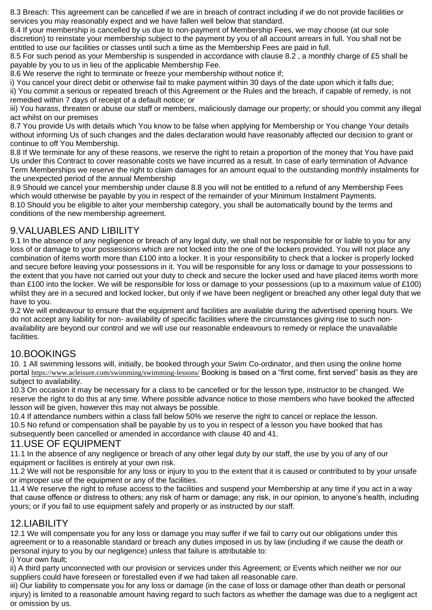8.3 Breach: This agreement can be cancelled if we are in breach of contract including if we do not provide facilities or services you may reasonably expect and we have fallen well below that standard.

8.4 If your membership is cancelled by us due to non-payment of Membership Fees, we may choose (at our sole discretion) to reinstate your membership subject to the payment by you of all account arrears in full. You shall not be entitled to use our facilities or classes until such a time as the Membership Fees are paid in full.

8.5 For such period as your Membership is suspended in accordance with clause 8.2 , a monthly charge of £5 shall be payable by you to us in lieu of the applicable Membership Fee.

8.6 We reserve the right to terminate or freeze your membership without notice if;

i) You cancel your direct debit or otherwise fail to make payment within 30 days of the date upon which it falls due; ii) You commit a serious or repeated breach of this Agreement or the Rules and the breach, if capable of remedy, is not remedied within 7 days of receipt of a default notice; or

iii) You harass, threaten or abuse our staff or members, maliciously damage our property; or should you commit any illegal act whilst on our premises

8.7 You provide Us with details which You know to be false when applying for Membership or You change Your details without informing Us of such changes and the dales declaration would have reasonably affected our decision to grant or continue to off You Membership.

8.8 If We terminate for any of these reasons, we reserve the right to retain a proportion of the money that You have paid Us under this Contract to cover reasonable costs we have incurred as a result. In case of early termination of Advance Term Memberships we reserve the right to claim damages for an amount equal to the outstanding monthly instalments for the unexpected period of the annual Membership

8.9 Should we cancel your membership under clause 8.8 you will not be entitled to a refund of any Membership Fees which would otherwise be payable by you in respect of the remainder of your Minimum Instalment Payments. 8.10 Should you be eligible to alter your membership category, you shall be automatically bound by the terms and conditions of the new membership agreement.

## 9.VALUABLES AND LIBILITY

9.1 In the absence of any negligence or breach of any legal duty, we shall not be responsible for or liable to you for any loss of or damage to your possessions which are not locked into the one of the lockers provided. You will not place any combination of items worth more than £100 into a locker. It is your responsibility to check that a locker is properly locked and secure before leaving your possessions in it. You will be responsible for any loss or damage to your possessions to the extent that you have not carried out your duty to check and secure the locker used and have placed items worth more than £100 into the locker. We will be responsible for loss or damage to your possessions (up to a maximum value of £100) whilst they are in a secured and locked locker, but only if we have been negligent or breached any other legal duty that we have to you.

9.2 We will endeavour to ensure that the equipment and facilities are available during the advertised opening hours. We do not accept any liability for non- availability of specific facilities where the circumstances giving rise to such nonavailability are beyond our control and we will use our reasonable endeavours to remedy or replace the unavailable facilities.

#### 10.BOOKINGS

10. 1 All swimming lessons will, initially, be booked through your Swim Co-ordinator, and then using the online home portal <https://www.acleisure.com/swimming/swimming-lessons/> Booking is based on a "first come, first served" basis as they are subject to availability.

10.3 On occasion it may be necessary for a class to be cancelled or for the lesson type, instructor to be changed. We reserve the right to do this at any time. Where possible advance notice to those members who have booked the affected lesson will be given, however this may not always be possible.

10.4 If attendance numbers within a class fall below 50% we reserve the right to cancel or replace the lesson. 10.5 No refund or compensation shall be payable by us to you in respect of a lesson you have booked that has subsequently been cancelled or amended in accordance with clause 40 and 41.

#### 11.USE OF EQUIPMENT

11.1 In the absence of any negligence or breach of any other legal duty by our staff, the use by you of any of our equipment or facilities is entirely at your own risk.

11.2 We will not be responsible for any loss or injury to you to the extent that it is caused or contributed to by your unsafe or improper use of the equipment or any of the facilities.

11.4 We reserve the right to refuse access to the facilities and suspend your Membership at any time if you act in a way that cause offence or distress to others; any risk of harm or damage; any risk, in our opinion, to anyone's health, including yours; or if you fail to use equipment safely and properly or as instructed by our staff.

#### 12.LIABILITY

12.1 We will compensate you for any loss or damage you may suffer if we fail to carry out our obligations under this agreement or to a reasonable standard or breach any duties imposed in us by law (including if we cause the death or personal injury to you by our negligence) unless that failure is attributable to:

i) Your own fault;

ii) A third party unconnected with our provision or services under this Agreement; or Events which neither we nor our suppliers could have foreseen or forestalled even if we had taken all reasonable care.

iii) Our liability to compensate you for any loss or damage (in the case of loss or damage other than death or personal injury) is limited to a reasonable amount having regard to such factors as whether the damage was due to a negligent act or omission by us.